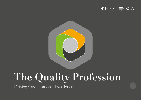

 $\overline{\Gamma}$ 



# **The Quality Profession**

Driving Organisational Excellence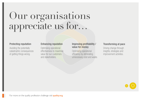# Our organisations appreciate us for…

### Protecting reputation

Avoiding the potentially catastrophic consequences of getting things wrong.

### Enhancing reputation

Optimising operational effectiveness to maximise value for our customers and stakeholders.

### Improving profitability / value for money

Optimising operational efficiency by eliminating unnecessary cost and waste.

### Transforming at pace

Driving change through insights, strategies and improvement activities.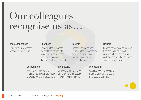# Our colleagues recognise us as…

#### Agents for change

Transforming processes, behaviour and culture.

### Guardians

Protecting the organisation by identifying appropriate standards for performance and providing assurance that they are being achieved.

#### **Collaborators**

Working with leaders and managers to develop the culture of excellence and improvement.

#### **Progressive**

Understanding the realities of managing organisations in dynamic environments.

### **Leaders**

Creating, managing and improving the organisation's systems of governance to maximise efficiency and effectiveness.

### **Holistic**

Looking across the organisation's functions and hierarchies to advocate a broad process, and customer and stakeholder-centric view of the organisation.

### **Professional**

Qualified by our professional institute, the CQI, and bound by a code of conduct.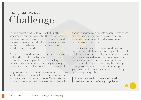### Challenge The Quality Profession

For all organisations, the delivery of high-quality products and services is essential. The consequences of failure grow ever more significant in today's world of increasing customer and stakeholder expectations, regulatory oversight and use of social media to broadcast success or failure.

Yet we live in a world where there are still too many quality failures that cause harm to society, damage lives and waste money. Organisations are persisting with wasteful and inefficient ways of working, delivering products and services that do not meet requirements.

Organisations that are unable to transform at speed and meet customer and stakeholder expectations see their reputations and customers slip away. Quality failures at any scale become increasingly unacceptable.Stakeholders

(including society, governments, suppliers, employees and consumers) require, and in many cases are demanding, improvements and transformations in how quality is delivered.

The CQI understands that to sustain delivery of high-quality products and services, organisations must establish effective systems of governance and assurance, and commit to a culture of objective evaluation and continuous improvement. The quality profession must ensure it is capable of meeting this challenge so organisations avoid the consequences of poor governance, ineffective assurance, inertia to change and subsequent quality failure.

 In short, we need to create a world with quality at the heart of every organisation.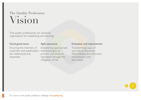### Vision The Quality Profession

That quality professionals are valued by organisations for establishing and ensuring:

### Good governance

### Agile assurance

Ensuring the interests of customers and stakeholders methodologies to are understood and respected.

### Establishing appropriate protect and enhance reputation through the mitigation of risk.

### Evaluation and improvement

Transforming ways of working to maximise effectiveness and eliminate unnecessary cost and waste.

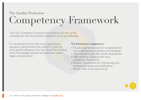### Competency Framework The Quality Profession

The CQI Competency Framework provides an overview of the competencies that the profession requires to do its job effectively.

It is structured around what we do (governance, assurance, improvement), the context in which we work and the behaviours we must show. The individual level of knowledge required will depend on career stages and specialisms.

### The framework is designed to:

- Provide clear benchmarks for competence for use by the Institute, employers and individuals
- Help individuals plan their career development
- Help employers develop their own competency frameworks
- Establish requirements for CQI learning and development assets and qualifications
- Tell the wider world what we do.

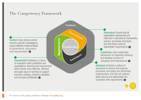### <span id="page-6-0"></span>The Competency Framework

**Context**

Leadershi

**Improvement**

mprovemen

**Governance**

**Assurance**

Context: Uses domain and/or industry-specific knowledge to ensure effective implementation of governance, assurance and improvement  $\bullet$ 

> Improvement: Facilitates a culture of evaluation (both qualitative and quantitative), learning and improvement which drives more effective, efficient and agile ways of working to support business strategy, enhance reputation and increase profitability  $\bullet$

Governance: Ensures that all organisation requirements are reflected in operational frameworks, policies, processes and plans, and that these meet all stakeholder requirements

Leadership: Uses leadership behaviours to maximise influence and develop a culture of evaluation and improvement  $\bullet$ 

Assurance: Embeds a culture of assurance to ensure that policies, processes and plans are effectively implemented, and that all outputs (both internal and deliverable) are consistent with requirements  $\odot$ 

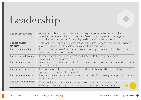# Leadership

| The quality advocate        | Articulates a clear vision for quality as a strategic imperative that supports the<br>organisation's broader aims and objectives. Develops and implements strategies to<br>maximise the contribution of the quality profession within the organisation. |
|-----------------------------|---------------------------------------------------------------------------------------------------------------------------------------------------------------------------------------------------------------------------------------------------------|
| The stakeholder<br>advocate | Acts as the conscience in the organisation, making interventions whenever necessary to<br>ensure customer and stakeholder requirements are addressed.                                                                                                   |
| The systems thinker         | Looks across business functions and hierarchies to promote a holistic view of the<br>organisation and its requirements.                                                                                                                                 |
| The fact-based thinker      | Promotes a culture of decision-making based on factual evidence and the<br>measurement of performance.                                                                                                                                                  |
| The quality planner         | Advocates the principle of planning for quality to prevent potential problems with product<br>and service quality.                                                                                                                                      |
| The quality coach           | Develops knowledge of quality principles and capability in quality tools, techniques and<br>approaches throughout the organisation.                                                                                                                     |
| The quality motivator       | Motivates and empowers others to take accountability for achieving and improving standards<br>of performance.                                                                                                                                           |
| The quality collaborator    | Works with all internal and external stakeholders to resolve issues associated<br>with organisation performance, and delivery of quality products/services.                                                                                             |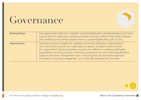## Governance

| <b>External focus</b> | Uses appropriate methods to establish customer/stakeholder needs/expectations and views.<br>Ensures that the organisation's policies, processes and plans reflects these needs. Evaluates<br>risks, problems and potential solutions from a customer/stakeholder point of view.                                                                                                                                                                                                                                    |  |
|-----------------------|--------------------------------------------------------------------------------------------------------------------------------------------------------------------------------------------------------------------------------------------------------------------------------------------------------------------------------------------------------------------------------------------------------------------------------------------------------------------------------------------------------------------|--|
| Internal focus        | Develops process management capability (ownership, definition, implementation<br>and improvement) across the organisation to deliver consistent results. Ensures<br>the organisation's policies, processes and plans are effective in meeting stakeholder<br>expectations, removing variation, minimising operational risk and maximising efficiency.<br>Supports the senior management team in ensuring that the operational approach<br>and system of business management are continually assessed and improved. |  |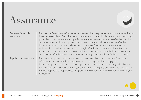## Assurance

| <b>Business (internal)</b><br>assurance | Ensures the flow-down of customer and stakeholder requirements across the organisation.<br>Uses understanding of requirements management, process implementation and tailoring                                                                                                                                                                                                                                                                                                                                                                         |  |
|-----------------------------------------|--------------------------------------------------------------------------------------------------------------------------------------------------------------------------------------------------------------------------------------------------------------------------------------------------------------------------------------------------------------------------------------------------------------------------------------------------------------------------------------------------------------------------------------------------------|--|
|                                         | principles, risk management and performance measurement to ensure effective planning<br>and internal controls are in place. Uses appropriate methods to ensure an effective<br>balance of self assurance vs independent assurance. Ensures management intent, as<br>reflected in its policies, processes and plans, is effectively implemented. Identifies risks,<br>failures and non-conformances associated with customer and stakeholder requirements,<br>and ensures effective action is taken to resolve any issues and identify the root causes. |  |
| Supply chain assurance                  | Ensures appropriate methods are used to select suppliers and to ensure flow-down<br>of customer and stakeholder requirements to the organisation's supply chain.<br>Uses appropriate methods to assess supplier performance and to identify risk, failure and<br>non-conformance. Supports the organisation in evaluating any problems and risks, and in<br>the development of appropriate mitigation and solutions. Ensures solutions are managed<br>to closure.                                                                                      |  |

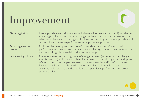# Improvement

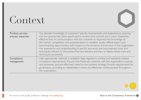## Context